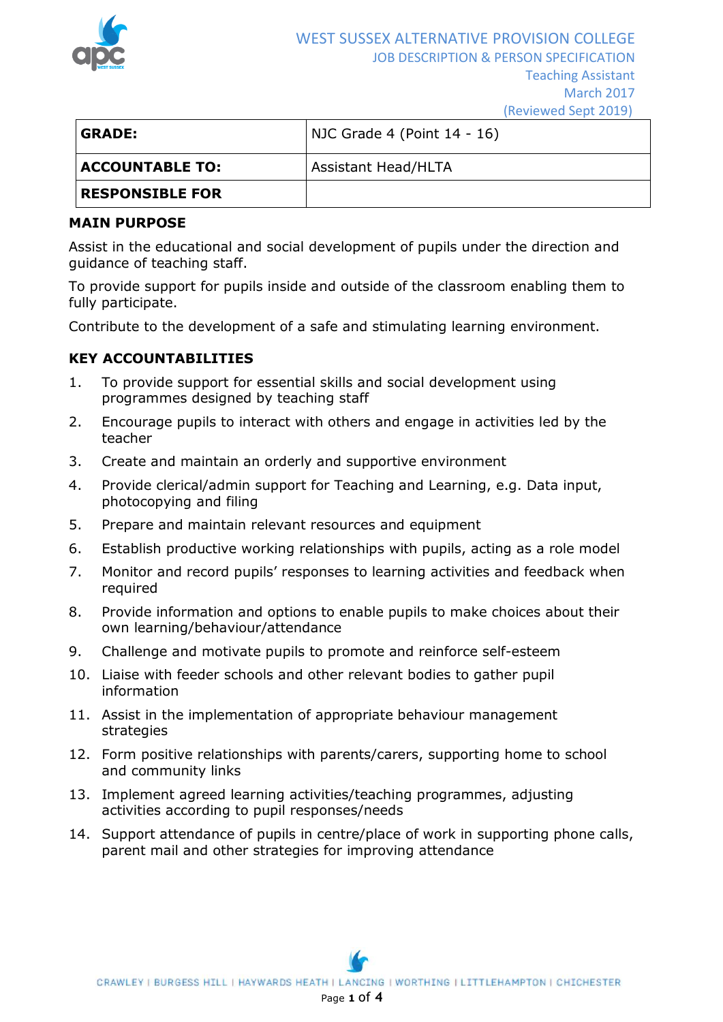

|  | (Reviewed Sept 2019) |
|--|----------------------|
|  |                      |

| <b>GRADE:</b>          | NJC Grade 4 (Point 14 - 16) |
|------------------------|-----------------------------|
| ACCOUNTABLE TO:        | <b>Assistant Head/HLTA</b>  |
| <b>RESPONSIBLE FOR</b> |                             |

### **MAIN PURPOSE**

Assist in the educational and social development of pupils under the direction and guidance of teaching staff.

To provide support for pupils inside and outside of the classroom enabling them to fully participate.

Contribute to the development of a safe and stimulating learning environment.

## **KEY ACCOUNTABILITIES**

- 1. To provide support for essential skills and social development using programmes designed by teaching staff
- 2. Encourage pupils to interact with others and engage in activities led by the teacher
- 3. Create and maintain an orderly and supportive environment
- 4. Provide clerical/admin support for Teaching and Learning, e.g. Data input, photocopying and filing
- 5. Prepare and maintain relevant resources and equipment
- 6. Establish productive working relationships with pupils, acting as a role model
- 7. Monitor and record pupils' responses to learning activities and feedback when required
- 8. Provide information and options to enable pupils to make choices about their own learning/behaviour/attendance
- 9. Challenge and motivate pupils to promote and reinforce self-esteem
- 10. Liaise with feeder schools and other relevant bodies to gather pupil information
- 11. Assist in the implementation of appropriate behaviour management strategies
- 12. Form positive relationships with parents/carers, supporting home to school and community links
- 13. Implement agreed learning activities/teaching programmes, adjusting activities according to pupil responses/needs
- 14. Support attendance of pupils in centre/place of work in supporting phone calls, parent mail and other strategies for improving attendance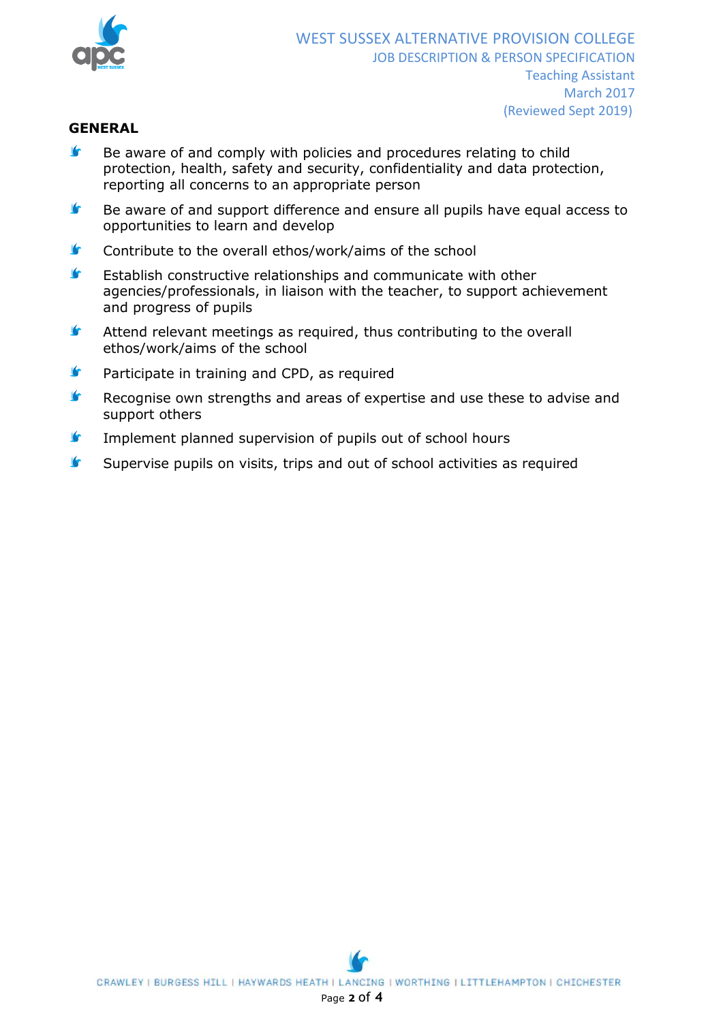

### **GENERAL**

- $\bullet$ Be aware of and comply with policies and procedures relating to child protection, health, safety and security, confidentiality and data protection, reporting all concerns to an appropriate person
- $\mathbf{r}$ Be aware of and support difference and ensure all pupils have equal access to opportunities to learn and develop
- $\mathbf{r}$ Contribute to the overall ethos/work/aims of the school
- $\bullet$ Establish constructive relationships and communicate with other agencies/professionals, in liaison with the teacher, to support achievement and progress of pupils
- $\bullet$ Attend relevant meetings as required, thus contributing to the overall ethos/work/aims of the school
- $\blacktriangleright$ Participate in training and CPD, as required
- $\blacktriangleright$ Recognise own strengths and areas of expertise and use these to advise and support others
- $\bullet$ Implement planned supervision of pupils out of school hours
- $\blacktriangleright$ Supervise pupils on visits, trips and out of school activities as required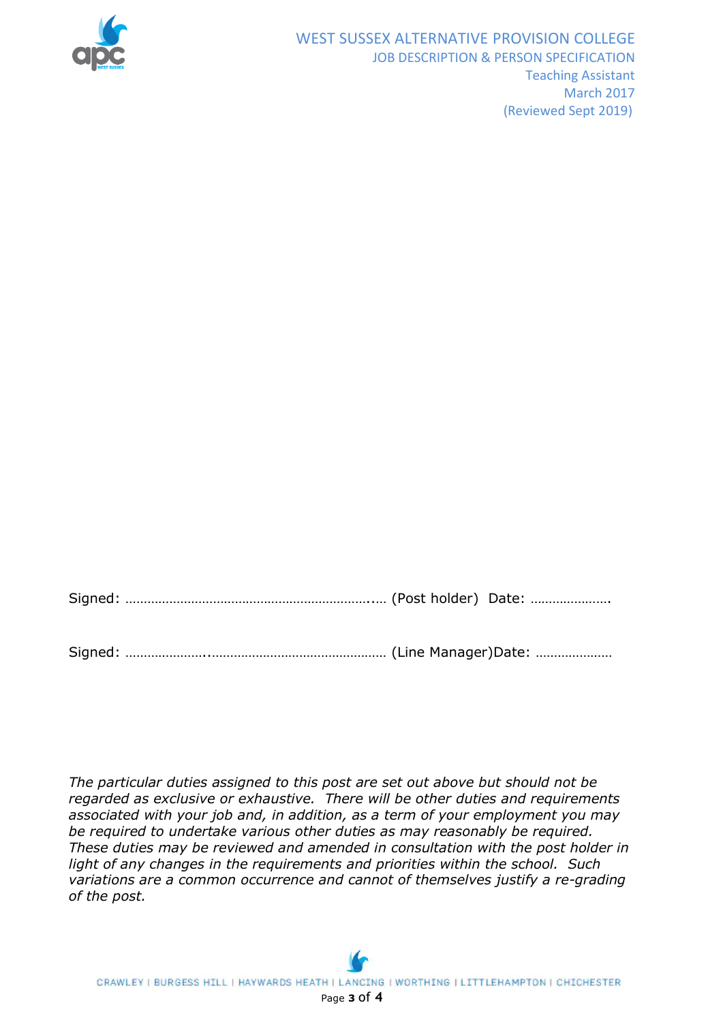

Signed: …………………………………………………………..… (Post holder) Date: ………………….

Signed: …………………..………………………………………… (Line Manager)Date: …………………

*The particular duties assigned to this post are set out above but should not be regarded as exclusive or exhaustive. There will be other duties and requirements associated with your job and, in addition, as a term of your employment you may be required to undertake various other duties as may reasonably be required. These duties may be reviewed and amended in consultation with the post holder in light of any changes in the requirements and priorities within the school. Such variations are a common occurrence and cannot of themselves justify a re-grading of the post.*